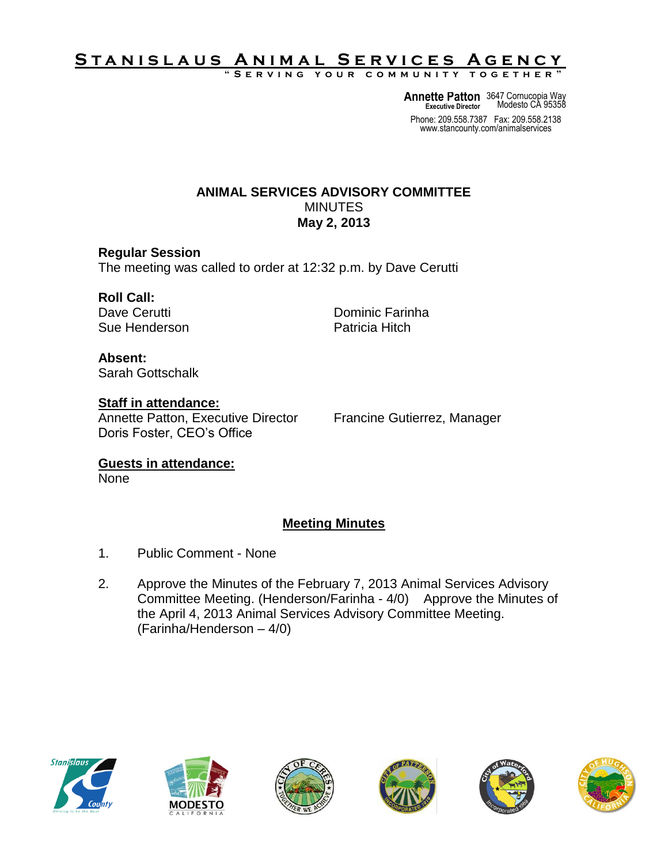# <u>STANISLAUS ANIMAL SERVICES AGENCY</u>

**" S e r v i n g y o u r c o m m u n i t y t o g e t h e r "**

**Annette Patton** 3647 Cornucopia Way **Executive Director** Modesto CA 95358

Phone: 209.558.7387 Fax: 209.558.2138 www.stancounty.com/animalservices

### **ANIMAL SERVICES ADVISORY COMMITTEE** MINUTES **May 2, 2013**

### **Regular Session**

The meeting was called to order at 12:32 p.m. by Dave Cerutti

# **Roll Call:**

Sue Henderson **Patricia** Hitch

Dave Cerutti **Dominic Farinha** 

**Absent:** Sarah Gottschalk

**Staff in attendance:** Annette Patton, Executive Director Francine Gutierrez, Manager Doris Foster, CEO's Office

**Guests in attendance:** None

## **Meeting Minutes**

- 1. Public Comment None
- 2. Approve the Minutes of the February 7, 2013 Animal Services Advisory Committee Meeting. (Henderson/Farinha - 4/0) Approve the Minutes of the April 4, 2013 Animal Services Advisory Committee Meeting. (Farinha/Henderson – 4/0)











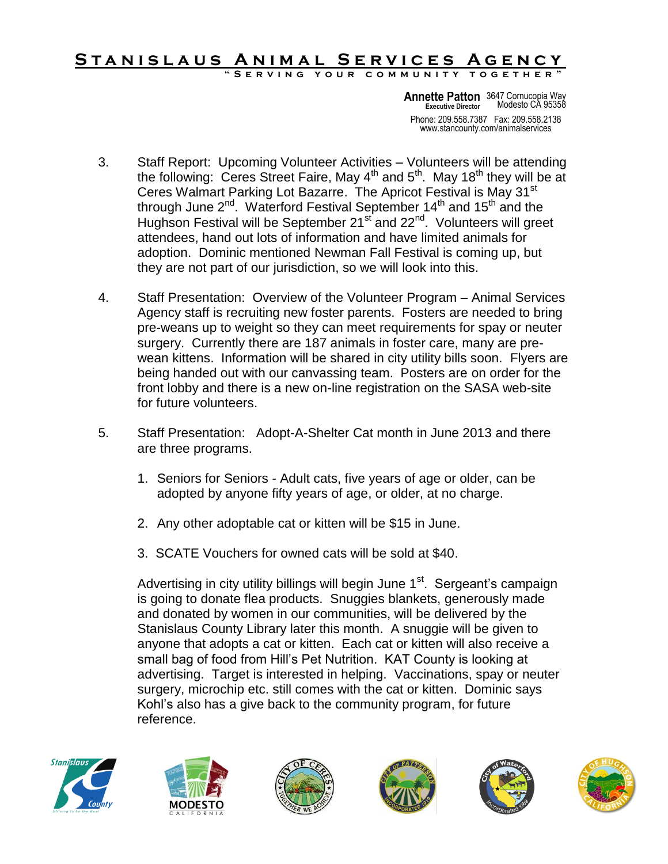#### STANISLAUS ANIMAL SERVICES AGENCY **" S e r v i n g y o u r c o m m u n i t y t o g e t h e r "**

Phone: 209.558.7387 Fax: 209.558.2138 www.stancounty.com/animalservices **Annette Patton** 3647 Cornucopia Way **Executive Director** Modesto CA 95358

- 3. Staff Report: Upcoming Volunteer Activities Volunteers will be attending the following: Ceres Street Faire, May  $4<sup>th</sup>$  and  $5<sup>th</sup>$ . May  $18<sup>th</sup>$  they will be at Ceres Walmart Parking Lot Bazarre. The Apricot Festival is May 31<sup>st</sup> through June  $2^{nd}$ . Waterford Festival September 14<sup>th</sup> and 15<sup>th</sup> and the Hughson Festival will be September 21<sup>st</sup> and 22<sup>nd</sup>. Volunteers will greet attendees, hand out lots of information and have limited animals for adoption. Dominic mentioned Newman Fall Festival is coming up, but they are not part of our jurisdiction, so we will look into this.
- 4. Staff Presentation: Overview of the Volunteer Program Animal Services Agency staff is recruiting new foster parents. Fosters are needed to bring pre-weans up to weight so they can meet requirements for spay or neuter surgery. Currently there are 187 animals in foster care, many are prewean kittens. Information will be shared in city utility bills soon. Flyers are being handed out with our canvassing team. Posters are on order for the front lobby and there is a new on-line registration on the SASA web-site for future volunteers.
- 5. Staff Presentation: Adopt-A-Shelter Cat month in June 2013 and there are three programs.
	- 1. Seniors for Seniors Adult cats, five years of age or older, can be adopted by anyone fifty years of age, or older, at no charge.
	- 2. Any other adoptable cat or kitten will be \$15 in June.
	- 3. SCATE Vouchers for owned cats will be sold at \$40.

Advertising in city utility billings will begin June 1<sup>st</sup>. Sergeant's campaign is going to donate flea products. Snuggies blankets, generously made and donated by women in our communities, will be delivered by the Stanislaus County Library later this month. A snuggie will be given to anyone that adopts a cat or kitten. Each cat or kitten will also receive a small bag of food from Hill's Pet Nutrition. KAT County is looking at advertising. Target is interested in helping. Vaccinations, spay or neuter surgery, microchip etc. still comes with the cat or kitten. Dominic says Kohl's also has a give back to the community program, for future reference.